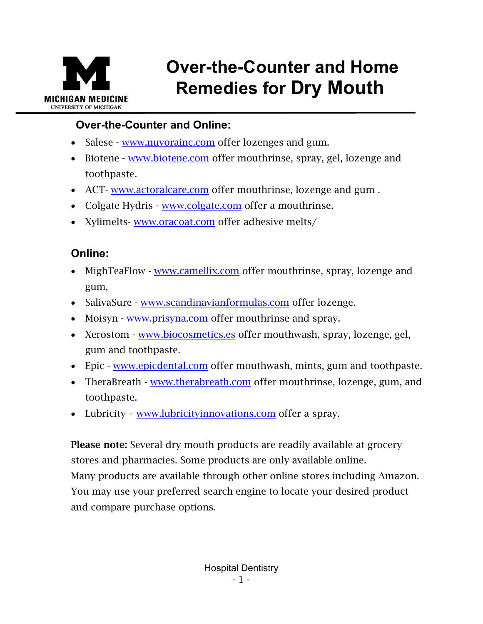

## **Over-the-Counter and Home Remedies for Dry Mouth**

## **Over-the-Counter and Online:**

- Salese [www.nuvorainc.com](http://www.nuvorainc.com/) offer lozenges and gum.
- Biotene [www.biotene.com](http://www.biotene.com/) offer mouthrinse, spray, gel, lozenge and toothpaste.
- ACT- [www.actoralcare.com](http://www.actoralcare.com/) offer mouthrinse, lozenge and gum.
- Colgate Hydris [www.colgate.com](http://www.colgate.com/) offer a mouthrinse.
- Xylimelts- [www.oracoat.com](http://www.oracoat.com/) offer adhesive melts/

## **Online:**

- MighTeaFlow [www.camellix.com](http://www.camellix.com/) offer mouthrinse, spray, lozenge and gum,
- SalivaSure [www.scandinavianformulas.com](http://www.scandinavianformulas.com/) offer lozenge.
- Moisyn [www.prisyna.com](http://www.prisyna.com/) offer mouthrinse and spray.
- Xerostom [www.biocosmetics.es](http://www.biocosmetics.es/) offer mouthwash, spray, lozenge, gel, gum and toothpaste.
- Epic [www.epicdental.com](http://www.epicdental.com/) offer mouthwash, mints, gum and toothpaste.
- TheraBreath [www.therabreath.com](http://www.therabreath.com/) offer mouthrinse, lozenge, gum, and toothpaste.
- Lubricity [www.lubricityinnovations.com](http://www.lubricityinnovations.com/) offer a spray.

Please note: Several dry mouth products are readily available at grocery stores and pharmacies. Some products are only available online. Many products are available through other online stores including Amazon. You may use your preferred search engine to locate your desired product and compare purchase options.